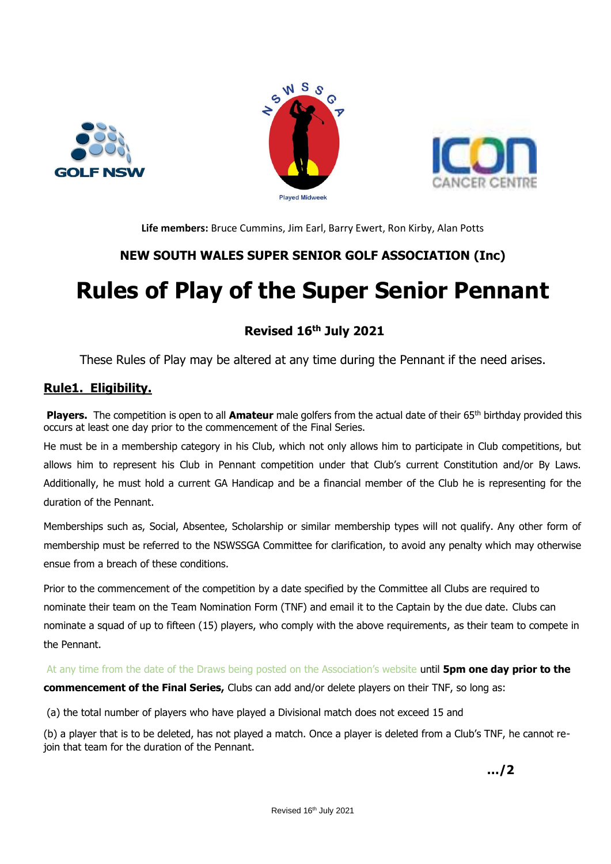





**Life members:** Bruce Cummins, Jim Earl, Barry Ewert, Ron Kirby, Alan Potts

# **NEW SOUTH WALES SUPER SENIOR GOLF ASSOCIATION (Inc)**

# **Rules of Play of the Super Senior Pennant**

# **Revised 16th July 2021**

These Rules of Play may be altered at any time during the Pennant if the need arises.

# **Rule1. Eligibility.**

**Players.** The competition is open to all **Amateur** male golfers from the actual date of their 65<sup>th</sup> birthday provided this occurs at least one day prior to the commencement of the Final Series.

He must be in a membership category in his Club, which not only allows him to participate in Club competitions, but allows him to represent his Club in Pennant competition under that Club's current Constitution and/or By Laws. Additionally, he must hold a current GA Handicap and be a financial member of the Club he is representing for the duration of the Pennant.

Memberships such as, Social, Absentee, Scholarship or similar membership types will not qualify. Any other form of membership must be referred to the NSWSSGA Committee for clarification, to avoid any penalty which may otherwise ensue from a breach of these conditions.

Prior to the commencement of the competition by a date specified by the Committee all Clubs are required to nominate their team on the Team Nomination Form (TNF) and email it to the Captain by the due date. Clubs can nominate a squad of up to fifteen (15) players, who comply with the above requirements, as their team to compete in the Pennant.

At any time from the date of the Draws being posted on the Association's website until **5pm one day prior to the commencement of the Final Series,** Clubs can add and/or delete players on their TNF, so long as:

(a) the total number of players who have played a Divisional match does not exceed 15 and

(b) a player that is to be deleted, has not played a match. Once a player is deleted from a Club's TNF, he cannot rejoin that team for the duration of the Pennant.

**…/2**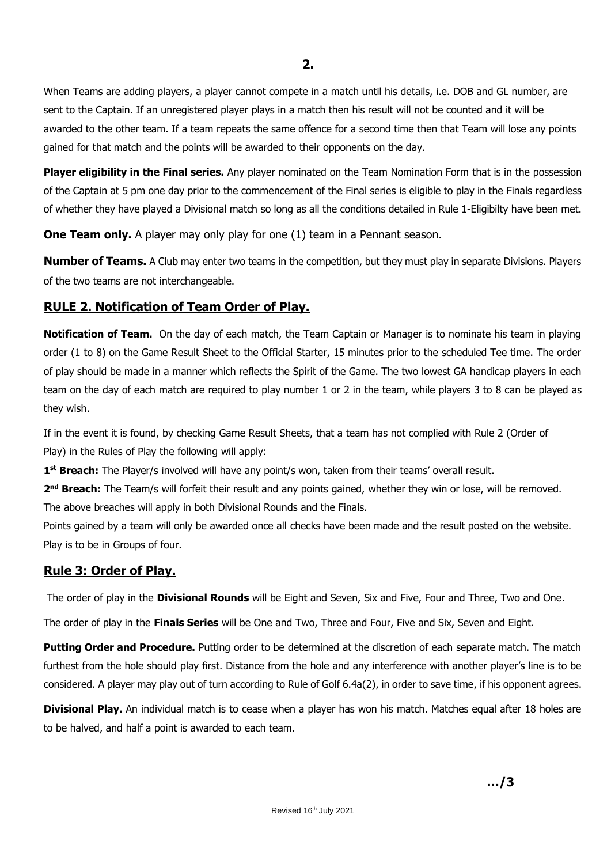When Teams are adding players, a player cannot compete in a match until his details, i.e. DOB and GL number, are sent to the Captain. If an unregistered player plays in a match then his result will not be counted and it will be awarded to the other team. If a team repeats the same offence for a second time then that Team will lose any points gained for that match and the points will be awarded to their opponents on the day.

**Player eligibility in the Final series.** Any player nominated on the Team Nomination Form that is in the possession of the Captain at 5 pm one day prior to the commencement of the Final series is eligible to play in the Finals regardless of whether they have played a Divisional match so long as all the conditions detailed in Rule 1-Eligibilty have been met.

**One Team only.** A player may only play for one (1) team in a Pennant season.

**Number of Teams.** A Club may enter two teams in the competition, but they must play in separate Divisions. Players of the two teams are not interchangeable.

## **RULE 2. Notification of Team Order of Play.**

**Notification of Team.** On the day of each match, the Team Captain or Manager is to nominate his team in playing order (1 to 8) on the Game Result Sheet to the Official Starter, 15 minutes prior to the scheduled Tee time. The order of play should be made in a manner which reflects the Spirit of the Game. The two lowest GA handicap players in each team on the day of each match are required to play number 1 or 2 in the team, while players 3 to 8 can be played as they wish.

If in the event it is found, by checking Game Result Sheets, that a team has not complied with Rule 2 (Order of Play) in the Rules of Play the following will apply:

**1 st Breach:** The Player/s involved will have any point/s won, taken from their teams' overall result.

2<sup>nd</sup> Breach: The Team/s will forfeit their result and any points gained, whether they win or lose, will be removed. The above breaches will apply in both Divisional Rounds and the Finals.

Points gained by a team will only be awarded once all checks have been made and the result posted on the website. Play is to be in Groups of four.

# **Rule 3: Order of Play.**

The order of play in the **Divisional Rounds** will be Eight and Seven, Six and Five, Four and Three, Two and One.

The order of play in the **Finals Series** will be One and Two, Three and Four, Five and Six, Seven and Eight.

**Putting Order and Procedure.** Putting order to be determined at the discretion of each separate match. The match furthest from the hole should play first. Distance from the hole and any interference with another player's line is to be considered. A player may play out of turn according to Rule of Golf 6.4a(2), in order to save time, if his opponent agrees.

**Divisional Play.** An individual match is to cease when a player has won his match. Matches equal after 18 holes are to be halved, and half a point is awarded to each team.

**…/3**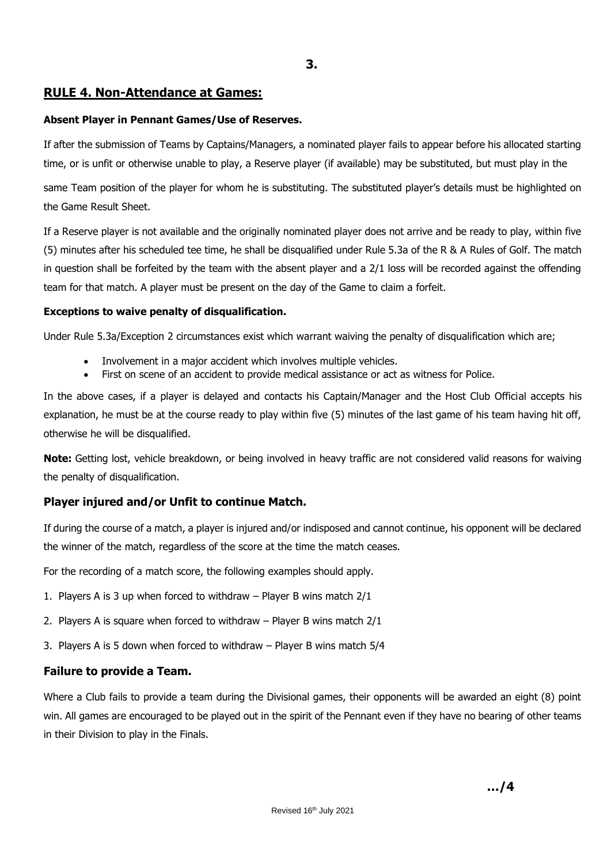### **RULE 4. Non-Attendance at Games:**

#### **Absent Player in Pennant Games/Use of Reserves.**

If after the submission of Teams by Captains/Managers, a nominated player fails to appear before his allocated starting time, or is unfit or otherwise unable to play, a Reserve player (if available) may be substituted, but must play in the

same Team position of the player for whom he is substituting. The substituted player's details must be highlighted on the Game Result Sheet.

If a Reserve player is not available and the originally nominated player does not arrive and be ready to play, within five (5) minutes after his scheduled tee time, he shall be disqualified under Rule 5.3a of the R & A Rules of Golf. The match in question shall be forfeited by the team with the absent player and a 2/1 loss will be recorded against the offending team for that match. A player must be present on the day of the Game to claim a forfeit.

#### **Exceptions to waive penalty of disqualification.**

Under Rule 5.3a/Exception 2 circumstances exist which warrant waiving the penalty of disqualification which are;

- Involvement in a major accident which involves multiple vehicles.
- First on scene of an accident to provide medical assistance or act as witness for Police.

In the above cases, if a player is delayed and contacts his Captain/Manager and the Host Club Official accepts his explanation, he must be at the course ready to play within five (5) minutes of the last game of his team having hit off, otherwise he will be disqualified.

**Note:** Getting lost, vehicle breakdown, or being involved in heavy traffic are not considered valid reasons for waiving the penalty of disqualification.

## **Player injured and/or Unfit to continue Match.**

If during the course of a match, a player is injured and/or indisposed and cannot continue, his opponent will be declared the winner of the match, regardless of the score at the time the match ceases.

For the recording of a match score, the following examples should apply.

- 1. Players A is 3 up when forced to withdraw Player B wins match 2/1
- 2. Players A is square when forced to withdraw Player B wins match 2/1
- 3. Players A is 5 down when forced to withdraw Player B wins match 5/4

#### **Failure to provide a Team.**

Where a Club fails to provide a team during the Divisional games, their opponents will be awarded an eight (8) point win. All games are encouraged to be played out in the spirit of the Pennant even if they have no bearing of other teams in their Division to play in the Finals.

**…/4**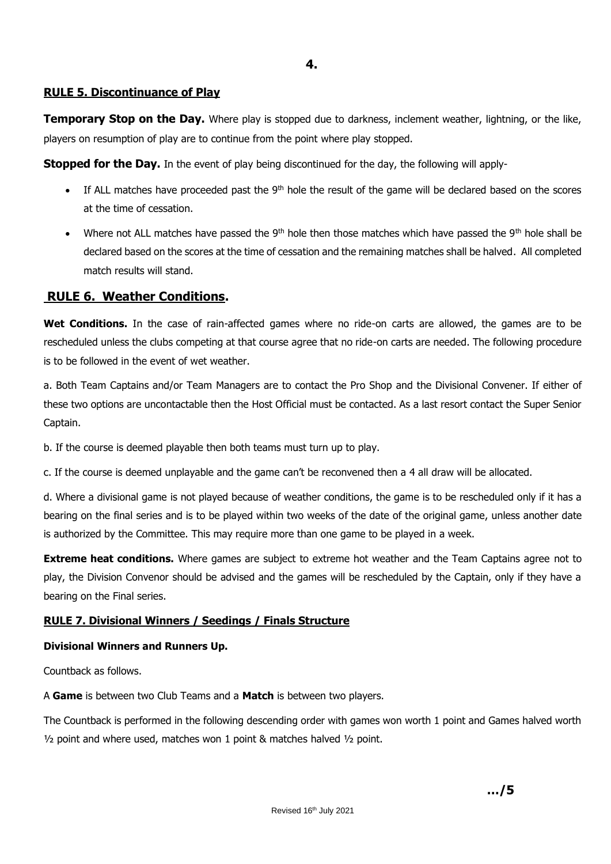**4.**

#### **RULE 5. Discontinuance of Play**

**Temporary Stop on the Day.** Where play is stopped due to darkness, inclement weather, lightning, or the like, players on resumption of play are to continue from the point where play stopped.

**Stopped for the Day.** In the event of play being discontinued for the day, the following will apply-

- $\bullet$  If ALL matches have proceeded past the 9<sup>th</sup> hole the result of the game will be declared based on the scores at the time of cessation.
- Where not ALL matches have passed the 9<sup>th</sup> hole then those matches which have passed the 9<sup>th</sup> hole shall be declared based on the scores at the time of cessation and the remaining matches shall be halved. All completed match results will stand.

## **RULE 6. Weather Conditions.**

**Wet Conditions.** In the case of rain-affected games where no ride-on carts are allowed, the games are to be rescheduled unless the clubs competing at that course agree that no ride-on carts are needed. The following procedure is to be followed in the event of wet weather.

a. Both Team Captains and/or Team Managers are to contact the Pro Shop and the Divisional Convener. If either of these two options are uncontactable then the Host Official must be contacted. As a last resort contact the Super Senior Captain.

b. If the course is deemed playable then both teams must turn up to play.

c. If the course is deemed unplayable and the game can't be reconvened then a 4 all draw will be allocated.

d. Where a divisional game is not played because of weather conditions, the game is to be rescheduled only if it has a bearing on the final series and is to be played within two weeks of the date of the original game, unless another date is authorized by the Committee. This may require more than one game to be played in a week.

**Extreme heat conditions.** Where games are subject to extreme hot weather and the Team Captains agree not to play, the Division Convenor should be advised and the games will be rescheduled by the Captain, only if they have a bearing on the Final series.

#### **RULE 7. Divisional Winners / Seedings / Finals Structure**

#### **Divisional Winners and Runners Up.**

Countback as follows.

A **Game** is between two Club Teams and a **Match** is between two players.

The Countback is performed in the following descending order with games won worth 1 point and Games halved worth  $\frac{1}{2}$  point and where used, matches won 1 point & matches halved  $\frac{1}{2}$  point.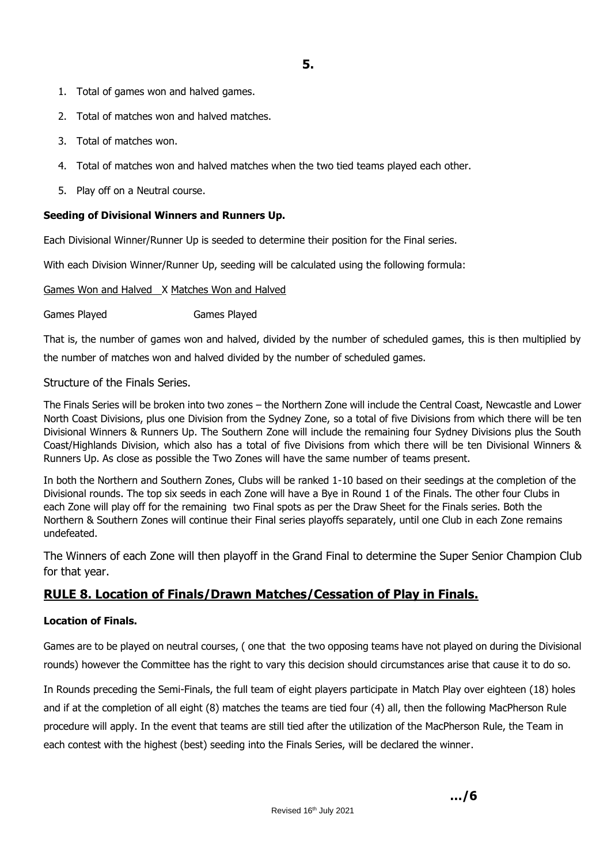- 1. Total of games won and halved games.
- 2. Total of matches won and halved matches.
- 3. Total of matches won.
- 4. Total of matches won and halved matches when the two tied teams played each other.
- 5. Play off on a Neutral course.

#### **Seeding of Divisional Winners and Runners Up.**

Each Divisional Winner/Runner Up is seeded to determine their position for the Final series.

With each Division Winner/Runner Up, seeding will be calculated using the following formula:

#### Games Won and Halved X Matches Won and Halved

Games Played Games Played

That is, the number of games won and halved, divided by the number of scheduled games, this is then multiplied by the number of matches won and halved divided by the number of scheduled games.

### Structure of the Finals Series.

The Finals Series will be broken into two zones – the Northern Zone will include the Central Coast, Newcastle and Lower North Coast Divisions, plus one Division from the Sydney Zone, so a total of five Divisions from which there will be ten Divisional Winners & Runners Up. The Southern Zone will include the remaining four Sydney Divisions plus the South Coast/Highlands Division, which also has a total of five Divisions from which there will be ten Divisional Winners & Runners Up. As close as possible the Two Zones will have the same number of teams present.

In both the Northern and Southern Zones, Clubs will be ranked 1-10 based on their seedings at the completion of the Divisional rounds. The top six seeds in each Zone will have a Bye in Round 1 of the Finals. The other four Clubs in each Zone will play off for the remaining two Final spots as per the Draw Sheet for the Finals series. Both the Northern & Southern Zones will continue their Final series playoffs separately, until one Club in each Zone remains undefeated.

The Winners of each Zone will then playoff in the Grand Final to determine the Super Senior Champion Club for that year.

# **RULE 8. Location of Finals/Drawn Matches/Cessation of Play in Finals.**

#### **Location of Finals.**

Games are to be played on neutral courses, ( one that the two opposing teams have not played on during the Divisional rounds) however the Committee has the right to vary this decision should circumstances arise that cause it to do so.

In Rounds preceding the Semi-Finals, the full team of eight players participate in Match Play over eighteen (18) holes and if at the completion of all eight (8) matches the teams are tied four (4) all, then the following MacPherson Rule procedure will apply. In the event that teams are still tied after the utilization of the MacPherson Rule, the Team in each contest with the highest (best) seeding into the Finals Series, will be declared the winner.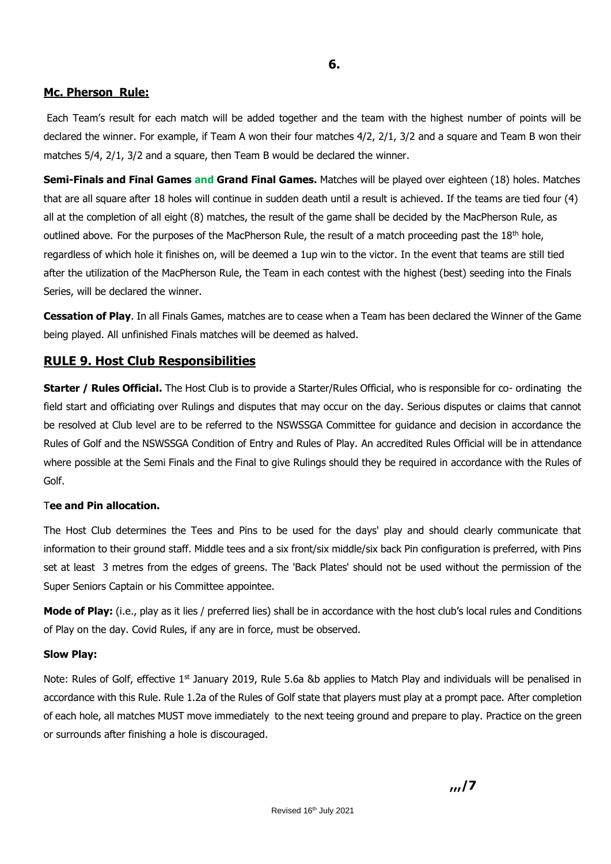#### **Mc. Pherson Rule:**

Each Team's result for each match will be added together and the team with the highest number of points will be declared the winner. For example, if Team A won their four matches 4/2, 2/1, 3/2 and a square and Team B won their matches 5/4, 2/1, 3/2 and a square, then Team B would be declared the winner.

**Semi-Finals and Final Games and Grand Final Games.** Matches will be played over eighteen (18) holes. Matches that are all square after 18 holes will continue in sudden death until a result is achieved. If the teams are tied four (4) all at the completion of all eight (8) matches, the result of the game shall be decided by the MacPherson Rule, as outlined above. For the purposes of the MacPherson Rule, the result of a match proceeding past the 18<sup>th</sup> hole, regardless of which hole it finishes on, will be deemed a 1up win to the victor. In the event that teams are still tied after the utilization of the MacPherson Rule, the Team in each contest with the highest (best) seeding into the Finals Series, will be declared the winner.

**Cessation of Play**. In all Finals Games, matches are to cease when a Team has been declared the Winner of the Game being played. All unfinished Finals matches will be deemed as halved.

### **RULE 9. Host Club Responsibilities**

**Starter / Rules Official.** The Host Club is to provide a Starter/Rules Official, who is responsible for co- ordinating the field start and officiating over Rulings and disputes that may occur on the day. Serious disputes or claims that cannot be resolved at Club level are to be referred to the NSWSSGA Committee for guidance and decision in accordance the Rules of Golf and the NSWSSGA Condition of Entry and Rules of Play. An accredited Rules Official will be in attendance where possible at the Semi Finals and the Final to give Rulings should they be required in accordance with the Rules of Golf.

#### T**ee and Pin allocation.**

The Host Club determines the Tees and Pins to be used for the days' play and should clearly communicate that information to their ground staff. Middle tees and a six front/six middle/six back Pin configuration is preferred, with Pins set at least 3 metres from the edges of greens. The 'Back Plates' should not be used without the permission of the Super Seniors Captain or his Committee appointee.

**Mode of Play:** (i.e., play as it lies / preferred lies) shall be in accordance with the host club's local rules and Conditions of Play on the day. Covid Rules, if any are in force, must be observed.

#### **Slow Play:**

Note: Rules of Golf, effective  $1<sup>st</sup>$  January 2019, Rule 5.6a &b applies to Match Play and individuals will be penalised in accordance with this Rule. Rule 1.2a of the Rules of Golf state that players must play at a prompt pace. After completion of each hole, all matches MUST move immediately to the next teeing ground and prepare to play. Practice on the green or surrounds after finishing a hole is discouraged.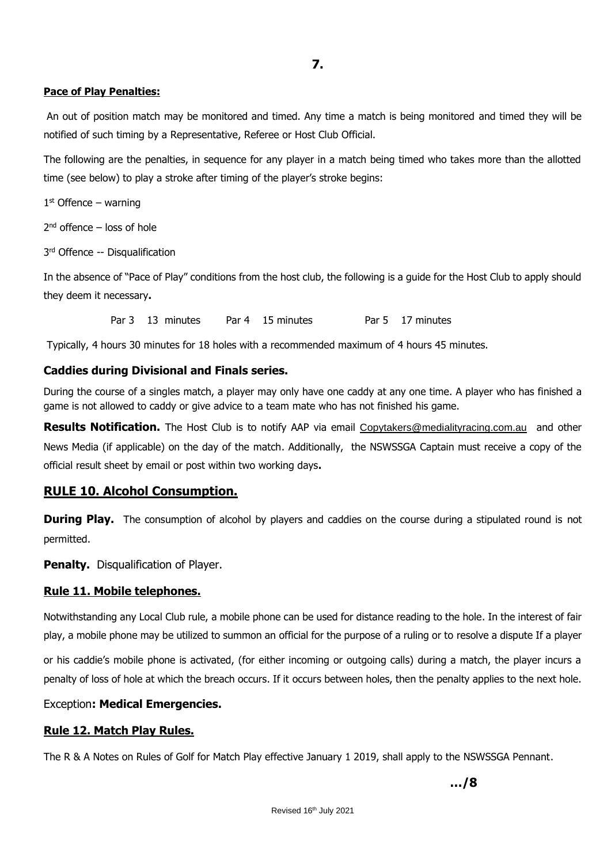#### **Pace of Play Penalties:**

An out of position match may be monitored and timed. Any time a match is being monitored and timed they will be notified of such timing by a Representative, Referee or Host Club Official.

The following are the penalties, in sequence for any player in a match being timed who takes more than the allotted time (see below) to play a stroke after timing of the player's stroke begins:

1 st Offence – warning

2 nd offence – loss of hole

3 rd Offence -- Disqualification

In the absence of "Pace of Play" conditions from the host club, the following is a guide for the Host Club to apply should they deem it necessary**.** 

Par 3 13 minutes Par 4 15 minutes Par 5 17 minutes

Typically, 4 hours 30 minutes for 18 holes with a recommended maximum of 4 hours 45 minutes.

### **Caddies during Divisional and Finals series.**

During the course of a singles match, a player may only have one caddy at any one time. A player who has finished a game is not allowed to caddy or give advice to a team mate who has not finished his game.

**Results Notification.** The Host Club is to notify AAP via email [Copytakers@medialityracing.com.au](mailto:Copytakers@medialityracing.com.au) and other News Media (if applicable) on the day of the match. Additionally, the NSWSSGA Captain must receive a copy of the official result sheet by email or post within two working days**.** 

## **RULE 10. Alcohol Consumption.**

**During Play.** The consumption of alcohol by players and caddies on the course during a stipulated round is not permitted.

**Penalty.** Disqualification of Player.

## **Rule 11. Mobile telephones.**

Notwithstanding any Local Club rule, a mobile phone can be used for distance reading to the hole. In the interest of fair play, a mobile phone may be utilized to summon an official for the purpose of a ruling or to resolve a dispute If a player

or his caddie's mobile phone is activated, (for either incoming or outgoing calls) during a match, the player incurs a penalty of loss of hole at which the breach occurs. If it occurs between holes, then the penalty applies to the next hole.

#### Exception**: Medical Emergencies.**

#### **Rule 12. Match Play Rules.**

The R & A Notes on Rules of Golf for Match Play effective January 1 2019, shall apply to the NSWSSGA Pennant.